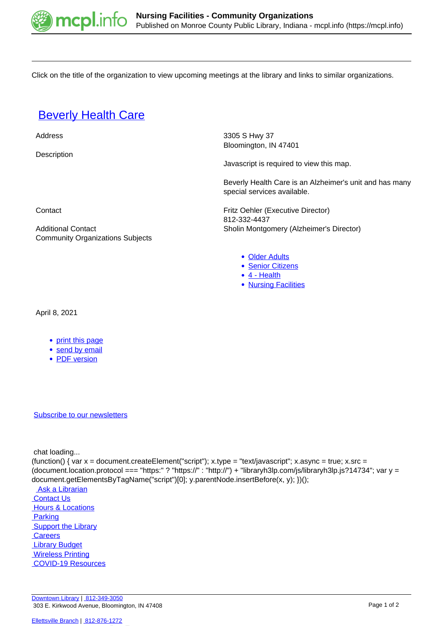

Click on the title of the organization to view upcoming meetings at the library and links to similar organizations.

## **[Beverly Health Care](https://mcpl.info/commorg/beverly-health-care)**

Address 3305 S Hwy 37 Bloomington, IN 47401 **Description** 

Javascript is required to view this map.

Beverly Health Care is an Alzheimer's unit and has many special services available.

**Contact Contact Contact Contact Contact Contact Contact Contact Contact Contact Contact Contact Contact Contact Contact Contact Contact Contact Contact Contact Contact Contact Contact Contact Contact Contact Contact Conta** 812-332-4437 Additional Contact **National Contact Contact** Sholin Montgomery (Alzheimer's Director)

- [Older Adults](https://mcpl.info/community-organization-subjects/older-adults)
- [Senior Citizens](https://mcpl.info/community-organization-subjects/senior-citizens)
- [4 Health](https://mcpl.info/taxonomy/term/24949)
- [Nursing Facilities](https://mcpl.info/taxonomy/term/25086)

Community Organizations Subjects

April 8, 2021

- [print this page](https://mcpl.info/print/commorg/beverly-health-care)
- [send by email](https://mcpl.info/printmail/commorg/beverly-health-care)
- [PDF version](https://mcpl.info/printpdf/commorg/beverly-health-care)

## [Subscribe to our newsletters](https://mcpl.info/geninfo/subscribe-think-library-newsletter)

chat loading...

(function() { var  $x =$  document.createElement("script");  $x.$ type = "text/javascript";  $x.$ async = true;  $x.$ src = (document.location.protocol === "https:" ? "https://" : "http://") + "libraryh3lp.com/js/libraryh3lp.js?14734"; var y = document.getElementsByTagName("script")[0]; y.parentNode.insertBefore(x, y); })();

Ask a Librarian **Contact Us Hours & Locations**  [Parking](https://mcpl.info/parking?utm_source=footer&utm_medium=links&utm_campaign=parking) **Support the Library Careers**  [Library Budget](https://budgetnotices.in.gov/unit_lookup.aspx?ct=53000)  [Wireless Printing](https://tbs.eprintit.com/portal/#/ppl/upload/monroecpl)  [COVID-19 Resources](https://mcpl.info/geninfo/local-covid-resources)